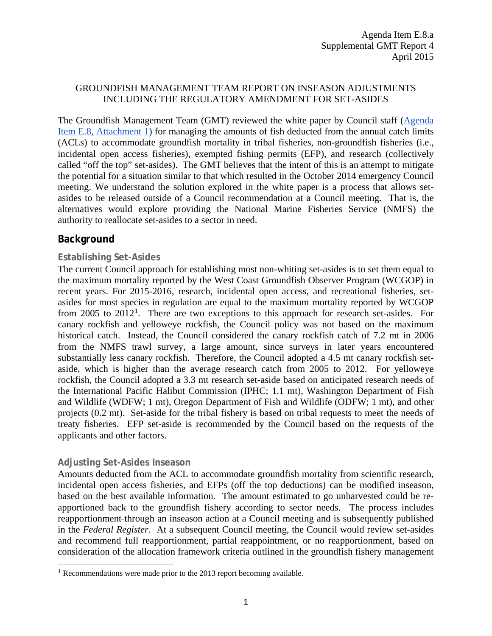### GROUNDFISH MANAGEMENT TEAM REPORT ON INSEASON ADJUSTMENTS INCLUDING THE REGULATORY AMENDMENT FOR SET-ASIDES

The Groundfish Management Team (GMT) reviewed the white paper by Council staff [\(Agenda](http://www.pcouncil.org/wp-content/uploads/2015/03/E8_Att1_SetAsideMgt_APR2015BB.pdf)  Item E.8, [Attachment 1\)](http://www.pcouncil.org/wp-content/uploads/2015/03/E8_Att1_SetAsideMgt_APR2015BB.pdf) for managing the amounts of fish deducted from the annual catch limits (ACLs) to accommodate groundfish mortality in tribal fisheries, non-groundfish fisheries (i.e., incidental open access fisheries), exempted fishing permits (EFP), and research (collectively called "off the top" set-asides). The GMT believes that the intent of this is an attempt to mitigate the potential for a situation similar to that which resulted in the October 2014 emergency Council meeting. We understand the solution explored in the white paper is a process that allows setasides to be released outside of a Council recommendation at a Council meeting. That is, the alternatives would explore providing the National Marine Fisheries Service (NMFS) the authority to reallocate set-asides to a sector in need.

# **Background**

### **Establishing Set-Asides**

The current Council approach for establishing most non-whiting set-asides is to set them equal to the maximum mortality reported by the West Coast Groundfish Observer Program (WCGOP) in recent years. For 2015-2016, research, incidental open access, and recreational fisheries, setasides for most species in regulation are equal to the maximum mortality reported by WCGOP from 2005 to 20[1](#page-0-0)2<sup>1</sup>. There are two exceptions to this approach for research set-asides. For canary rockfish and yelloweye rockfish, the Council policy was not based on the maximum historical catch. Instead, the Council considered the canary rockfish catch of 7.2 mt in 2006 from the NMFS trawl survey, a large amount, since surveys in later years encountered substantially less canary rockfish. Therefore, the Council adopted a 4.5 mt canary rockfish setaside, which is higher than the average research catch from 2005 to 2012. For yelloweye rockfish, the Council adopted a 3.3 mt research set-aside based on anticipated research needs of the International Pacific Halibut Commission (IPHC; 1.1 mt), Washington Department of Fish and Wildlife (WDFW; 1 mt), Oregon Department of Fish and Wildlife (ODFW; 1 mt), and other projects (0.2 mt). Set-aside for the tribal fishery is based on tribal requests to meet the needs of treaty fisheries. EFP set-aside is recommended by the Council based on the requests of the applicants and other factors.

#### **Adjusting Set-Asides Inseason**

 $\overline{a}$ 

Amounts deducted from the ACL to accommodate groundfish mortality from scientific research, incidental open access fisheries, and EFPs (off the top deductions) can be modified inseason, based on the best available information. The amount estimated to go unharvested could be reapportioned back to the groundfish fishery according to sector needs. The process includes reapportionment through an inseason action at a Council meeting and is subsequently published in the *Federal Register*. At a subsequent Council meeting, the Council would review set-asides and recommend full reapportionment, partial reappointment, or no reapportionment, based on consideration of the allocation framework criteria outlined in the groundfish fishery management

<span id="page-0-0"></span><sup>1</sup> Recommendations were made prior to the 2013 report becoming available.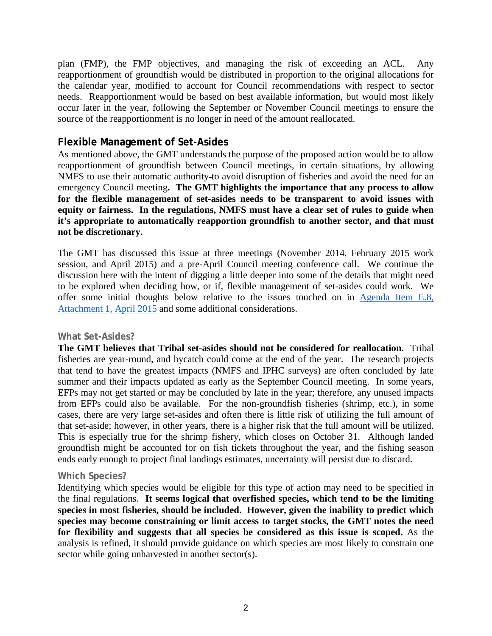plan (FMP), the FMP objectives, and managing the risk of exceeding an ACL. Any reapportionment of groundfish would be distributed in proportion to the original allocations for the calendar year, modified to account for Council recommendations with respect to sector needs. Reapportionment would be based on best available information, but would most likely occur later in the year, following the September or November Council meetings to ensure the source of the reapportionment is no longer in need of the amount reallocated.

# **Flexible Management of Set-Asides**

As mentioned above, the GMT understands the purpose of the proposed action would be to allow reapportionment of groundfish between Council meetings, in certain situations, by allowing NMFS to use their automatic authority to avoid disruption of fisheries and avoid the need for an emergency Council meeting**. The GMT highlights the importance that any process to allow for the flexible management of set-asides needs to be transparent to avoid issues with equity or fairness. In the regulations, NMFS must have a clear set of rules to guide when it's appropriate to automatically reapportion groundfish to another sector, and that must not be discretionary.** 

The GMT has discussed this issue at three meetings (November 2014, February 2015 work session, and April 2015) and a pre-April Council meeting conference call. We continue the discussion here with the intent of digging a little deeper into some of the details that might need to be explored when deciding how, or if, flexible management of set-asides could work. We offer some initial thoughts below relative to the issues touched on in [Agenda Item E.8,](http://www.pcouncil.org/wp-content/uploads/2015/03/E8_Att1_SetAsideMgt_APR2015BB.pdf)  [Attachment 1, April 2015](http://www.pcouncil.org/wp-content/uploads/2015/03/E8_Att1_SetAsideMgt_APR2015BB.pdf) and some additional considerations.

#### **What Set-Asides?**

**The GMT believes that Tribal set-asides should not be considered for reallocation.** Tribal fisheries are year-round, and bycatch could come at the end of the year. The research projects that tend to have the greatest impacts (NMFS and IPHC surveys) are often concluded by late summer and their impacts updated as early as the September Council meeting. In some years, EFPs may not get started or may be concluded by late in the year; therefore, any unused impacts from EFPs could also be available. For the non-groundfish fisheries (shrimp, etc.), in some cases, there are very large set-asides and often there is little risk of utilizing the full amount of that set-aside; however, in other years, there is a higher risk that the full amount will be utilized. This is especially true for the shrimp fishery, which closes on October 31. Although landed groundfish might be accounted for on fish tickets throughout the year, and the fishing season ends early enough to project final landings estimates, uncertainty will persist due to discard.

#### **Which Species?**

Identifying which species would be eligible for this type of action may need to be specified in the final regulations. **It seems logical that overfished species, which tend to be the limiting species in most fisheries, should be included. However, given the inability to predict which species may become constraining or limit access to target stocks, the GMT notes the need for flexibility and suggests that all species be considered as this issue is scoped.** As the analysis is refined, it should provide guidance on which species are most likely to constrain one sector while going unharvested in another sector(s).